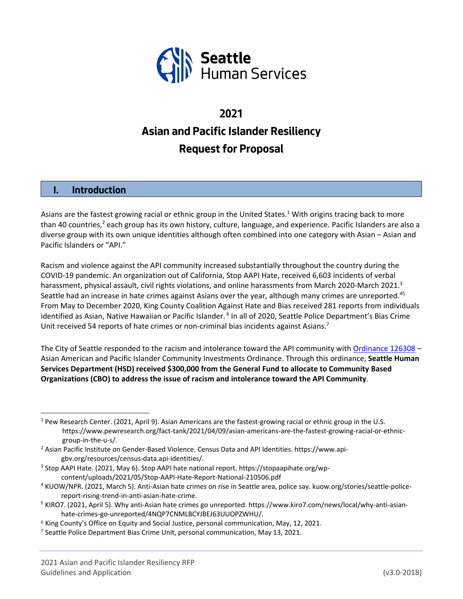

# **2021 Asian and Pacific Islander Resiliency Request for Proposal**

# **I. Introduction**

Asians are the fastest growing racial or ethnic group in the United States.<sup>1</sup> With origins tracing back to more than 40 countries,<sup>2</sup> each group has its own history, culture, language, and experience. Pacific Islanders are also a diverse group with its own unique identities although often combined into one category with Asian – Asian and Pacific Islanders or "API."

 Racism and violence against the API community increased substantially throughout the country during the COVID‐19 pandemic. An organization out of California, Stop AAPI Hate, received 6,603 incidents of verbal harassment, physical assault, civil rights violations, and online harassments from March 2020-March 2021.<sup>3</sup> Seattle had an increase in hate crimes against Asians over the year, although many crimes are unreported.<sup>45</sup> From May to December 2020, King County Coalition Against Hate and Bias received 281 reports from individuals identified as Asian, Native Hawaiian or Pacific Islander. <sup>6</sup> In all of 2020, Seattle Police Department's Bias Crime Unit received 54 reports of hate crimes or non-criminal bias incidents against Asians.<sup>7</sup>

The City of Seattle responded to the racism and intolerance toward the API community with Ordinance 126308 -  Asian American and Pacific Islander Community Investments Ordinance. Through this ordinance, **Seattle Human** Services Department (HSD) received \$300,000 from the General Fund to allocate to Community Based  **Organizations (CBO) to address the issue of racism and intolerance toward the API Community**.

<sup>&</sup>lt;sup>1</sup> Pew Research Center. (2021, April 9). Asian Americans are the fastest-growing racial or ethnic group in the U.S. group‐in‐the‐u‐s/. [https://www.pewresearch.org/fact](https://www.pewresearch.org/fact-tank/2021/04/09/asian-americans-are-the-fastest-growing-racial-or-ethnic)-tank/2021/04/09/asian-americans-are-the-fastest-growing-racial-or-ethnic-

<sup>&</sup>lt;sup>2</sup> Asian Pacific Institute on Gender-Based Violence. Census Data and API Identities. <https://www.api>[gbv.org/resources/census](https://gbv.org/resources/census-data.api-identities)‐data.api‐identities/.

 $3$  Stop AAPI Hate. (2021, May 6). Stop AAPI hate national report. <https://stopaapihate.org/wp>content/uploads/2021/05/Stop‐AAPI‐Hate‐Report‐National‐210506.pdf

<sup>4</sup> KUOW/NPR. (2021, March 5). Anti-Asian hate crimes on rise in Seattle area, police say. [kuow.org/stories/seattle](https://kuow.org/stories/seattle-police)-policereport‐rising‐trend‐in‐anti‐asian‐hate‐crime.

<sup>&</sup>lt;sup>5</sup> KIRO7. (2021, April 5). Why anti-Asian hate crimes go unreported. [https://www.kiro7.com/news/local/why](https://www.kiro7.com/news/local/why-anti-asian)-anti-asianhate‐crimes‐go‐unreported/4NQP7CNMLBCYJBEJ63UUOPZWHU/.

 $6$  King County's Office on Equity and Social Justice, personal communication, May, 12, 2021.

<sup>&</sup>lt;sup>7</sup> Seattle Police Department Bias Crime Unit, personal communication, May 13, 2021.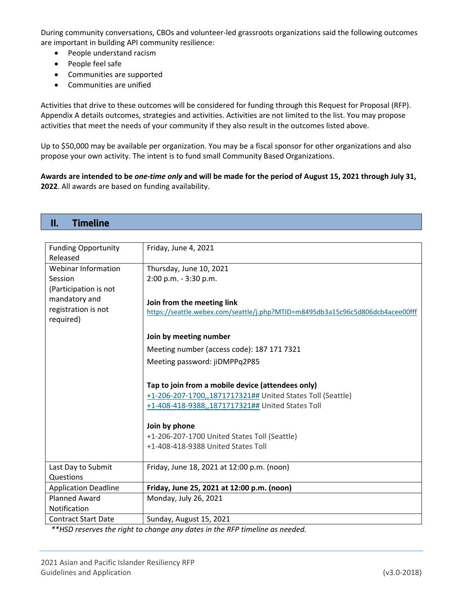During community conversations, CBOs and volunteer‐led grassroots organizations said the following outcomes are important in building API community resilience:

- People understand racism
- People feel safe

**II. Timeline** 

- Communities are supported
- Communities are unified

 Activities that drive to these outcomes will be considered for funding through this Request for Proposal (RFP). Appendix A details outcomes, strategies and activities. Activities are not limited to the list. You may propose activities that meet the needs of your community if they also result in the outcomes listed above.

 Up to \$50,000 may be available per organization. You may be a fiscal sponsor for other organizations and also propose your own activity. The intent is to fund small Community Based Organizations.

Awards are intended to be one-time only and will be made for the period of August 15, 2021 through July 31, **2022**. All awards are based on funding availability.

| <b>Funding Opportunity</b>       | Friday, June 4, 2021                                                           |
|----------------------------------|--------------------------------------------------------------------------------|
| Released                         |                                                                                |
| <b>Webinar Information</b>       | Thursday, June 10, 2021                                                        |
| Session                          | 2:00 p.m. - 3:30 p.m.                                                          |
| (Participation is not            |                                                                                |
| mandatory and                    | Join from the meeting link                                                     |
| registration is not<br>required) | https://seattle.webex.com/seattle/j.php?MTID=m8495db3a15c96c5d806dcb4acee00fff |
|                                  | Join by meeting number                                                         |
|                                  | Meeting number (access code): 187 171 7321                                     |
|                                  | Meeting password: jiDMPPq2P85                                                  |
|                                  | Tap to join from a mobile device (attendees only)                              |
|                                  | +1-206-207-1700,,1871717321## United States Toll (Seattle)                     |
|                                  | +1-408-418-9388,,1871717321## United States Toll                               |
|                                  | Join by phone                                                                  |
|                                  | +1-206-207-1700 United States Toll (Seattle)                                   |
|                                  | +1-408-418-9388 United States Toll                                             |
| Last Day to Submit               | Friday, June 18, 2021 at 12:00 p.m. (noon)                                     |
| Questions                        |                                                                                |
| <b>Application Deadline</b>      | Friday, June 25, 2021 at 12:00 p.m. (noon)                                     |
| <b>Planned Award</b>             | Monday, July 26, 2021                                                          |
| Notification                     |                                                                                |
| <b>Contract Start Date</b>       | Sunday, August 15, 2021<br>$\mathbf{r}$                                        |

 *\*\*HSD reserves the right to change any dates in the RFP timeline as needed.*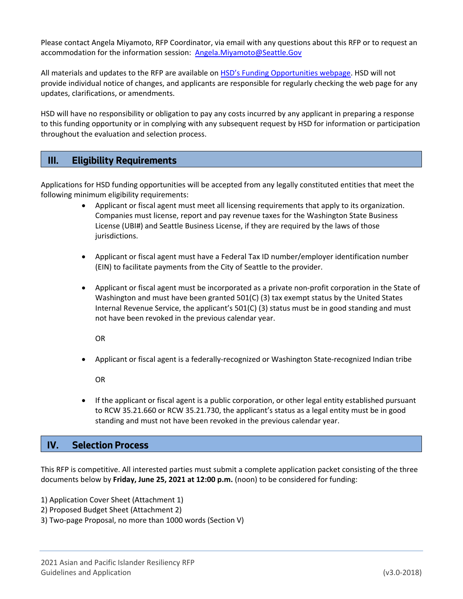Please contact Angela Miyamoto, RFP Coordinator, via email with any questions about this RFP or to request an accommodation for the information session: [Angela.Miyamoto@Seattle.Gov](mailto:Angela.Miyamoto@Seattle.Gov)

All materials and updates to the RFP are available on HSD's Funding Opportunities webpage. HSD will not provide individual notice of changes, and applicants are responsible for regularly checking the web page for any updates, clarifications, or amendments.

 HSD will have no responsibility or obligation to pay any costs incurred by any applicant in preparing a response to this funding opportunity or in complying with any subsequent request by HSD for information or participation throughout the evaluation and selection process.

#### **III. Eligibility Requirements**

 Applications for HSD funding opportunities will be accepted from any legally constituted entities that meet the following minimum eligibility requirements:

- Applicant or fiscal agent must meet all licensing requirements that apply to its organization. Companies must license, report and pay revenue taxes for the Washington State Business License (UBI#) and Seattle Business License, if they are required by the laws of those jurisdictions.
- Applicant or fiscal agent must have a Federal Tax ID number/employer identification number (EIN) to facilitate payments from the City of Seattle to the provider.
- Applicant or fiscal agent must be incorporated as a private non-profit corporation in the State of Washington and must have been granted 501(C) (3) tax exempt status by the United States Internal Revenue Service, the applicant's 501(C) (3) status must be in good standing and must not have been revoked in the previous calendar year.

OR

● Applicant or fiscal agent is a federally-recognized or Washington State-recognized Indian tribe

OR

 If the applicant or fiscal agent is a public corporation, or other legal entity established pursuant to RCW 35.21.660 or RCW 35.21.730, the applicant's status as a legal entity must be in good standing and must not have been revoked in the previous calendar year.

# **IV. Selection Process**

 This RFP is competitive. All interested parties must submit a complete application packet consisting of the three  documents below by **Friday, June 25, 2021 at 12:00 p.m.** (noon) to be considered for funding:

- 1) Application Cover Sheet (Attachment 1)
- 2) Proposed Budget Sheet (Attachment 2)
- 3) Two‐page Proposal, no more than 1000 words (Section V)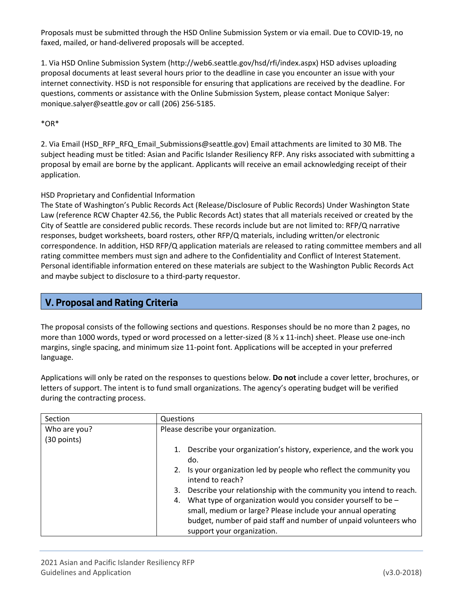Proposals must be submitted through the HSD Online Submission System or via email. Due to COVID‐19, no faxed, mailed, or hand‐delivered proposals will be accepted.

 1. Via HSD Online Submission System [\(http://web6.seattle.gov/hsd/rfi/index.aspx\)](http://web6.seattle.gov/hsd/rfi/index.aspx) HSD advises uploading proposal documents at least several hours prior to the deadline in case you encounter an issue with your internet connectivity. HSD is not responsible for ensuring that applications are received by the deadline. For questions, comments or assistance with the Online Submission System, please contact Monique Salyer: [monique.salyer@seattle.gov](mailto:monique.salyer@seattle.gov) or call (206) 256‐5185.

\*OR\*

 2. Via Email ([HSD\\_RFP\\_RFQ\\_Email\\_Submissions@seattle.gov\)](mailto:HSD_RFP_RFQ_Email_Submissions@seattle.gov) Email attachments are limited to 30 MB. The subject heading must be titled: Asian and Pacific Islander Resiliency RFP. Any risks associated with submitting a proposal by email are borne by the applicant. Applicants will receive an email acknowledging receipt of their application.

#### HSD Proprietary and Confidential Information

 The State of Washington's Public Records Act (Release/Disclosure of Public Records) Under Washington State Law (reference RCW Chapter 42.56, the Public Records Act) states that all materials received or created by the City of Seattle are considered public records. These records include but are not limited to: RFP/Q narrative responses, budget worksheets, board rosters, other RFP/Q materials, including written/or electronic correspondence. In addition, HSD RFP/Q application materials are released to rating committee members and all rating committee members must sign and adhere to the Confidentiality and Conflict of Interest Statement. Personal identifiable information entered on these materials are subject to the Washington Public Records Act and maybe subject to disclosure to a third‐party requestor.

# **V. Proposal and Rating Criteria**

 The proposal consists of the following sections and questions. Responses should be no more than 2 pages, no more than 1000 words, typed or word processed on a letter‐sized (8 ½ x 11‐inch) sheet. Please use one‐inch margins, single spacing, and minimum size 11‐point font. Applications will be accepted in your preferred language.

 Applications will only be rated on the responses to questions below. **Do not** include a cover letter, brochures, or letters of support. The intent is to fund small organizations. The agency's operating budget will be verified during the contracting process.

| Section      | Questions                                                                                                                                                                                                                             |  |  |
|--------------|---------------------------------------------------------------------------------------------------------------------------------------------------------------------------------------------------------------------------------------|--|--|
| Who are you? | Please describe your organization.                                                                                                                                                                                                    |  |  |
| (30 points)  |                                                                                                                                                                                                                                       |  |  |
|              | Describe your organization's history, experience, and the work you<br>do.                                                                                                                                                             |  |  |
|              | Is your organization led by people who reflect the community you<br>intend to reach?                                                                                                                                                  |  |  |
|              | Describe your relationship with the community you intend to reach.<br>3.                                                                                                                                                              |  |  |
|              | What type of organization would you consider yourself to be -<br>4.<br>small, medium or large? Please include your annual operating<br>budget, number of paid staff and number of unpaid volunteers who<br>support your organization. |  |  |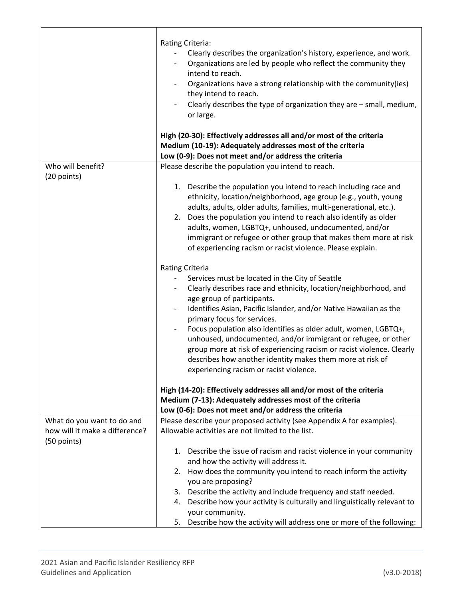|                                               | Rating Criteria:<br>Clearly describes the organization's history, experience, and work.<br>Organizations are led by people who reflect the community they<br>$\overline{\phantom{a}}$<br>intend to reach.<br>Organizations have a strong relationship with the community(ies)<br>they intend to reach.<br>Clearly describes the type of organization they are - small, medium,<br>or large.                                                                                                                                                                                                                                      |
|-----------------------------------------------|----------------------------------------------------------------------------------------------------------------------------------------------------------------------------------------------------------------------------------------------------------------------------------------------------------------------------------------------------------------------------------------------------------------------------------------------------------------------------------------------------------------------------------------------------------------------------------------------------------------------------------|
|                                               | High (20-30): Effectively addresses all and/or most of the criteria<br>Medium (10-19): Adequately addresses most of the criteria<br>Low (0-9): Does not meet and/or address the criteria                                                                                                                                                                                                                                                                                                                                                                                                                                         |
| Who will benefit?                             | Please describe the population you intend to reach.                                                                                                                                                                                                                                                                                                                                                                                                                                                                                                                                                                              |
| (20 points)                                   | Describe the population you intend to reach including race and<br>1.<br>ethnicity, location/neighborhood, age group (e.g., youth, young<br>adults, adults, older adults, families, multi-generational, etc.).<br>Does the population you intend to reach also identify as older<br>2.<br>adults, women, LGBTQ+, unhoused, undocumented, and/or<br>immigrant or refugee or other group that makes them more at risk<br>of experiencing racism or racist violence. Please explain.                                                                                                                                                 |
|                                               | <b>Rating Criteria</b><br>Services must be located in the City of Seattle<br>Clearly describes race and ethnicity, location/neighborhood, and<br>age group of participants.<br>Identifies Asian, Pacific Islander, and/or Native Hawaiian as the<br>$\overline{\phantom{0}}$<br>primary focus for services.<br>Focus population also identifies as older adult, women, LGBTQ+,<br>unhoused, undocumented, and/or immigrant or refugee, or other<br>group more at risk of experiencing racism or racist violence. Clearly<br>describes how another identity makes them more at risk of<br>experiencing racism or racist violence. |
|                                               | High (14-20): Effectively addresses all and/or most of the criteria<br>Medium (7-13): Adequately addresses most of the criteria                                                                                                                                                                                                                                                                                                                                                                                                                                                                                                  |
| What do you want to do and                    | Low (0-6): Does not meet and/or address the criteria<br>Please describe your proposed activity (see Appendix A for examples).                                                                                                                                                                                                                                                                                                                                                                                                                                                                                                    |
| how will it make a difference?<br>(50 points) | Allowable activities are not limited to the list.                                                                                                                                                                                                                                                                                                                                                                                                                                                                                                                                                                                |
|                                               | Describe the issue of racism and racist violence in your community<br>1.<br>and how the activity will address it.<br>2.<br>How does the community you intend to reach inform the activity<br>you are proposing?<br>3. Describe the activity and include frequency and staff needed.                                                                                                                                                                                                                                                                                                                                              |
|                                               | Describe how your activity is culturally and linguistically relevant to<br>4.<br>your community.<br>Describe how the activity will address one or more of the following:<br>5.                                                                                                                                                                                                                                                                                                                                                                                                                                                   |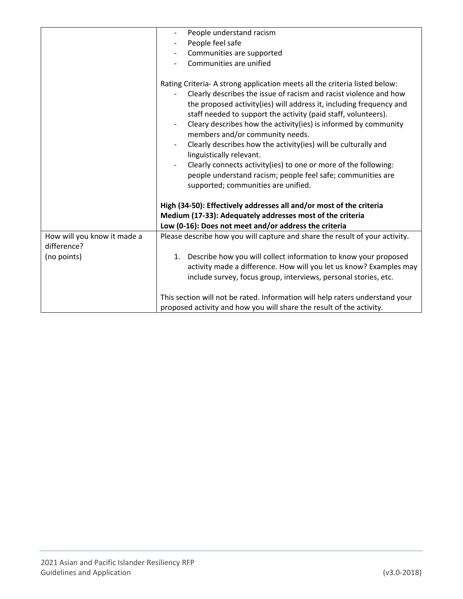|                                            | People understand racism<br>People feel safe<br>Communities are supported<br>Communities are unified                                                                                                                                                                                                                                                                                                                                                                                                                                                                                                                                                                                                                                        |  |
|--------------------------------------------|---------------------------------------------------------------------------------------------------------------------------------------------------------------------------------------------------------------------------------------------------------------------------------------------------------------------------------------------------------------------------------------------------------------------------------------------------------------------------------------------------------------------------------------------------------------------------------------------------------------------------------------------------------------------------------------------------------------------------------------------|--|
|                                            | Rating Criteria-A strong application meets all the criteria listed below:<br>Clearly describes the issue of racism and racist violence and how<br>the proposed activity(ies) will address it, including frequency and<br>staff needed to support the activity (paid staff, volunteers).<br>Cleary describes how the activity(ies) is informed by community<br>members and/or community needs.<br>Clearly describes how the activity(ies) will be culturally and<br>linguistically relevant.<br>Clearly connects activity(ies) to one or more of the following:<br>people understand racism; people feel safe; communities are<br>supported; communities are unified.<br>High (34-50): Effectively addresses all and/or most of the criteria |  |
|                                            | Medium (17-33): Adequately addresses most of the criteria<br>Low (0-16): Does not meet and/or address the criteria                                                                                                                                                                                                                                                                                                                                                                                                                                                                                                                                                                                                                          |  |
| How will you know it made a<br>difference? | Please describe how you will capture and share the result of your activity.                                                                                                                                                                                                                                                                                                                                                                                                                                                                                                                                                                                                                                                                 |  |
| (no points)                                | Describe how you will collect information to know your proposed<br>1.<br>activity made a difference. How will you let us know? Examples may<br>include survey, focus group, interviews, personal stories, etc.                                                                                                                                                                                                                                                                                                                                                                                                                                                                                                                              |  |
|                                            | This section will not be rated. Information will help raters understand your<br>proposed activity and how you will share the result of the activity.                                                                                                                                                                                                                                                                                                                                                                                                                                                                                                                                                                                        |  |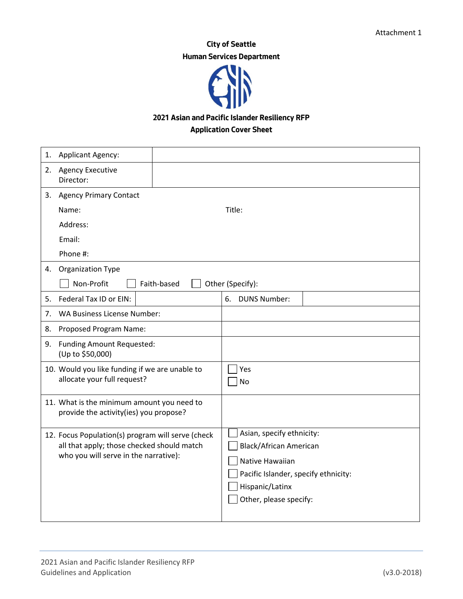# **City of Seattle Human Services Department**



## **2021 Asian and Pacific Islander Resiliency RFP**

## **Application Cover Sheet**

| 1. | Applicant Agency:                                                                                                                        |             |                                                                                                                                                                    |
|----|------------------------------------------------------------------------------------------------------------------------------------------|-------------|--------------------------------------------------------------------------------------------------------------------------------------------------------------------|
|    | 2. Agency Executive<br>Director:                                                                                                         |             |                                                                                                                                                                    |
|    | 3. Agency Primary Contact                                                                                                                |             |                                                                                                                                                                    |
|    | Name:                                                                                                                                    |             | Title:                                                                                                                                                             |
|    | Address:                                                                                                                                 |             |                                                                                                                                                                    |
|    | Email:                                                                                                                                   |             |                                                                                                                                                                    |
|    | Phone #:                                                                                                                                 |             |                                                                                                                                                                    |
| 4. | Organization Type                                                                                                                        |             |                                                                                                                                                                    |
|    | Non-Profit                                                                                                                               | Faith-based | Other (Specify):                                                                                                                                                   |
| 5. | Federal Tax ID or EIN:                                                                                                                   |             | 6.<br><b>DUNS Number:</b>                                                                                                                                          |
| 7. | <b>WA Business License Number:</b>                                                                                                       |             |                                                                                                                                                                    |
| 8. | Proposed Program Name:                                                                                                                   |             |                                                                                                                                                                    |
| 9. | <b>Funding Amount Requested:</b><br>(Up to \$50,000)                                                                                     |             |                                                                                                                                                                    |
|    | 10. Would you like funding if we are unable to<br>allocate your full request?                                                            |             | Yes<br>No                                                                                                                                                          |
|    | 11. What is the minimum amount you need to<br>provide the activity(ies) you propose?                                                     |             |                                                                                                                                                                    |
|    | 12. Focus Population(s) program will serve (check<br>all that apply; those checked should match<br>who you will serve in the narrative): |             | Asian, specify ethnicity:<br><b>Black/African American</b><br>Native Hawaiian<br>Pacific Islander, specify ethnicity:<br>Hispanic/Latinx<br>Other, please specify: |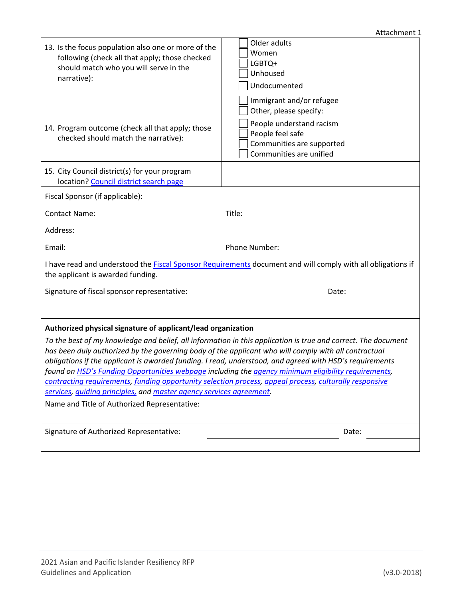| 13. Is the focus population also one or more of the<br>following (check all that apply; those checked<br>should match who you will serve in the<br>narrative):                                                                                                                                                                                                                                                                                                                                                                                                                                                                                                           | Older adults<br>Women<br>LGBTQ+<br>Unhoused<br>Undocumented<br>Immigrant and/or refugee<br>Other, please specify: |  |  |
|--------------------------------------------------------------------------------------------------------------------------------------------------------------------------------------------------------------------------------------------------------------------------------------------------------------------------------------------------------------------------------------------------------------------------------------------------------------------------------------------------------------------------------------------------------------------------------------------------------------------------------------------------------------------------|-------------------------------------------------------------------------------------------------------------------|--|--|
| 14. Program outcome (check all that apply; those<br>checked should match the narrative):                                                                                                                                                                                                                                                                                                                                                                                                                                                                                                                                                                                 | People understand racism<br>People feel safe<br>Communities are supported<br>Communities are unified              |  |  |
| 15. City Council district(s) for your program<br>location? Council district search page                                                                                                                                                                                                                                                                                                                                                                                                                                                                                                                                                                                  |                                                                                                                   |  |  |
| Fiscal Sponsor (if applicable):                                                                                                                                                                                                                                                                                                                                                                                                                                                                                                                                                                                                                                          |                                                                                                                   |  |  |
| <b>Contact Name:</b>                                                                                                                                                                                                                                                                                                                                                                                                                                                                                                                                                                                                                                                     | Title:                                                                                                            |  |  |
| Address:                                                                                                                                                                                                                                                                                                                                                                                                                                                                                                                                                                                                                                                                 |                                                                                                                   |  |  |
| Email:                                                                                                                                                                                                                                                                                                                                                                                                                                                                                                                                                                                                                                                                   | Phone Number:                                                                                                     |  |  |
| I have read and understood the <b>Fiscal Sponsor Requirements</b> document and will comply with all obligations if<br>the applicant is awarded funding.                                                                                                                                                                                                                                                                                                                                                                                                                                                                                                                  |                                                                                                                   |  |  |
| Signature of fiscal sponsor representative:                                                                                                                                                                                                                                                                                                                                                                                                                                                                                                                                                                                                                              | Date:                                                                                                             |  |  |
|                                                                                                                                                                                                                                                                                                                                                                                                                                                                                                                                                                                                                                                                          |                                                                                                                   |  |  |
| Authorized physical signature of applicant/lead organization                                                                                                                                                                                                                                                                                                                                                                                                                                                                                                                                                                                                             |                                                                                                                   |  |  |
| To the best of my knowledge and belief, all information in this application is true and correct. The document<br>has been duly authorized by the governing body of the applicant who will comply with all contractual<br>obligations if the applicant is awarded funding. I read, understood, and agreed with HSD's requirements<br>found on HSD's Funding Opportunities webpage including the agency minimum eligibility requirements,<br>contracting requirements, funding opportunity selection process, appeal process, culturally responsive<br>services, quiding principles, and master agency services agreement.<br>Name and Title of Authorized Representative: |                                                                                                                   |  |  |
| Signature of Authorized Representative:                                                                                                                                                                                                                                                                                                                                                                                                                                                                                                                                                                                                                                  | Date:                                                                                                             |  |  |
|                                                                                                                                                                                                                                                                                                                                                                                                                                                                                                                                                                                                                                                                          |                                                                                                                   |  |  |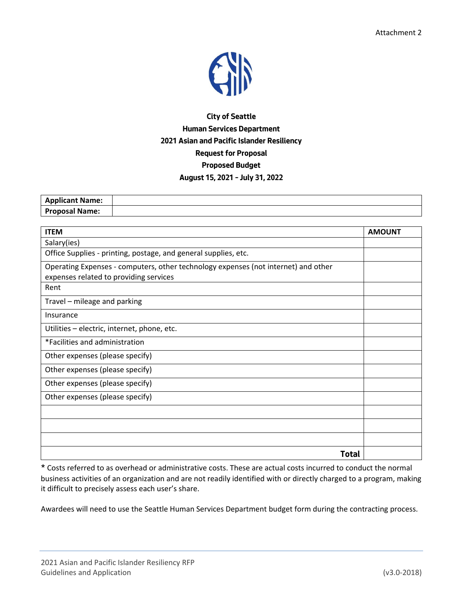

# **City of Seattle Human Services Department 2021 Asian and Pacific Islander Resiliency Request for Proposal Proposed Budget August 15, 2021 – July 31, 2022**

| <b>Applicant Name:</b><br>$\mathbf{m}_{\mathbf{P}}$ |  |
|-----------------------------------------------------|--|
| <b>Proposal Name:</b>                               |  |

| <b>ITEM</b>                                                                        | <b>AMOUNT</b> |
|------------------------------------------------------------------------------------|---------------|
| Salary(ies)                                                                        |               |
| Office Supplies - printing, postage, and general supplies, etc.                    |               |
| Operating Expenses - computers, other technology expenses (not internet) and other |               |
| expenses related to providing services                                             |               |
| Rent                                                                               |               |
| Travel - mileage and parking                                                       |               |
| Insurance                                                                          |               |
| Utilities - electric, internet, phone, etc.                                        |               |
| *Facilities and administration                                                     |               |
| Other expenses (please specify)                                                    |               |
| Other expenses (please specify)                                                    |               |
| Other expenses (please specify)                                                    |               |
| Other expenses (please specify)                                                    |               |
|                                                                                    |               |
|                                                                                    |               |
|                                                                                    |               |
| <b>Total</b>                                                                       |               |

 \* Costs referred to as overhead or administrative costs. These are actual costs incurred to conduct the normal business activities of an organization and are not readily identified with or directly charged to a program, making it difficult to precisely assess each user's share.

Awardees will need to use the Seattle Human Services Department budget form during the contracting process.